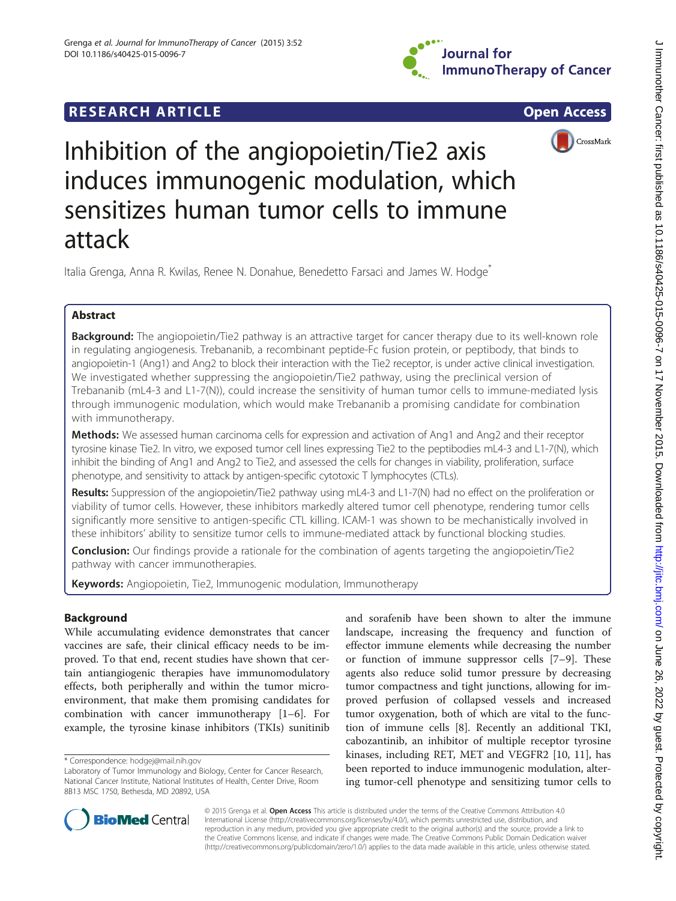# **RESEARCH ARTICLE Example 2018 12:00 Department of the Contract Open Access**







Inhibition of the angiopoietin/Tie2 axis induces immunogenic modulation, which sensitizes human tumor cells to immune attack

Italia Grenga, Anna R. Kwilas, Renee N. Donahue, Benedetto Farsaci and James W. Hodge<sup>\*</sup>

# Abstract

Background: The angiopoietin/Tie2 pathway is an attractive target for cancer therapy due to its well-known role in regulating angiogenesis. Trebananib, a recombinant peptide-Fc fusion protein, or peptibody, that binds to angiopoietin-1 (Ang1) and Ang2 to block their interaction with the Tie2 receptor, is under active clinical investigation. We investigated whether suppressing the angiopoietin/Tie2 pathway, using the preclinical version of Trebananib (mL4-3 and L1-7(N)), could increase the sensitivity of human tumor cells to immune-mediated lysis through immunogenic modulation, which would make Trebananib a promising candidate for combination with immunotherapy.

Methods: We assessed human carcinoma cells for expression and activation of Ang1 and Ang2 and their receptor tyrosine kinase Tie2. In vitro, we exposed tumor cell lines expressing Tie2 to the peptibodies mL4-3 and L1-7(N), which inhibit the binding of Ang1 and Ang2 to Tie2, and assessed the cells for changes in viability, proliferation, surface phenotype, and sensitivity to attack by antigen-specific cytotoxic T lymphocytes (CTLs).

Results: Suppression of the angiopoietin/Tie2 pathway using mL4-3 and L1-7(N) had no effect on the proliferation or viability of tumor cells. However, these inhibitors markedly altered tumor cell phenotype, rendering tumor cells significantly more sensitive to antigen-specific CTL killing. ICAM-1 was shown to be mechanistically involved in these inhibitors' ability to sensitize tumor cells to immune-mediated attack by functional blocking studies.

Conclusion: Our findings provide a rationale for the combination of agents targeting the angiopoietin/Tie2 pathway with cancer immunotherapies.

Keywords: Angiopoietin, Tie2, Immunogenic modulation, Immunotherapy

## Background

While accumulating evidence demonstrates that cancer vaccines are safe, their clinical efficacy needs to be improved. To that end, recent studies have shown that certain antiangiogenic therapies have immunomodulatory effects, both peripherally and within the tumor microenvironment, that make them promising candidates for combination with cancer immunotherapy [[1](#page-9-0)–[6](#page-9-0)]. For example, the tyrosine kinase inhibitors (TKIs) sunitinib

and sorafenib have been shown to alter the immune landscape, increasing the frequency and function of effector immune elements while decreasing the number or function of immune suppressor cells [[7](#page-9-0)–[9](#page-9-0)]. These agents also reduce solid tumor pressure by decreasing tumor compactness and tight junctions, allowing for improved perfusion of collapsed vessels and increased tumor oxygenation, both of which are vital to the function of immune cells [\[8](#page-9-0)]. Recently an additional TKI, cabozantinib, an inhibitor of multiple receptor tyrosine kinases, including RET, MET and VEGFR2 [\[10](#page-9-0), [11\]](#page-9-0), has been reported to induce immunogenic modulation, altering tumor-cell phenotype and sensitizing tumor cells to



© 2015 Grenga et al. Open Access This article is distributed under the terms of the Creative Commons Attribution 4.0 International License [\(http://creativecommons.org/licenses/by/4.0/](http://creativecommons.org/licenses/by/4.0/)), which permits unrestricted use, distribution, and reproduction in any medium, provided you give appropriate credit to the original author(s) and the source, provide a link to the Creative Commons license, and indicate if changes were made. The Creative Commons Public Domain Dedication waiver [\(http://creativecommons.org/publicdomain/zero/1.0/](http://creativecommons.org/publicdomain/zero/1.0/)) applies to the data made available in this article, unless otherwise stated.

<sup>\*</sup> Correspondence: [hodgej@mail.nih.gov](mailto:hodgej@mail.nih.gov)

Laboratory of Tumor Immunology and Biology, Center for Cancer Research, National Cancer Institute, National Institutes of Health, Center Drive, Room 8B13 MSC 1750, Bethesda, MD 20892, USA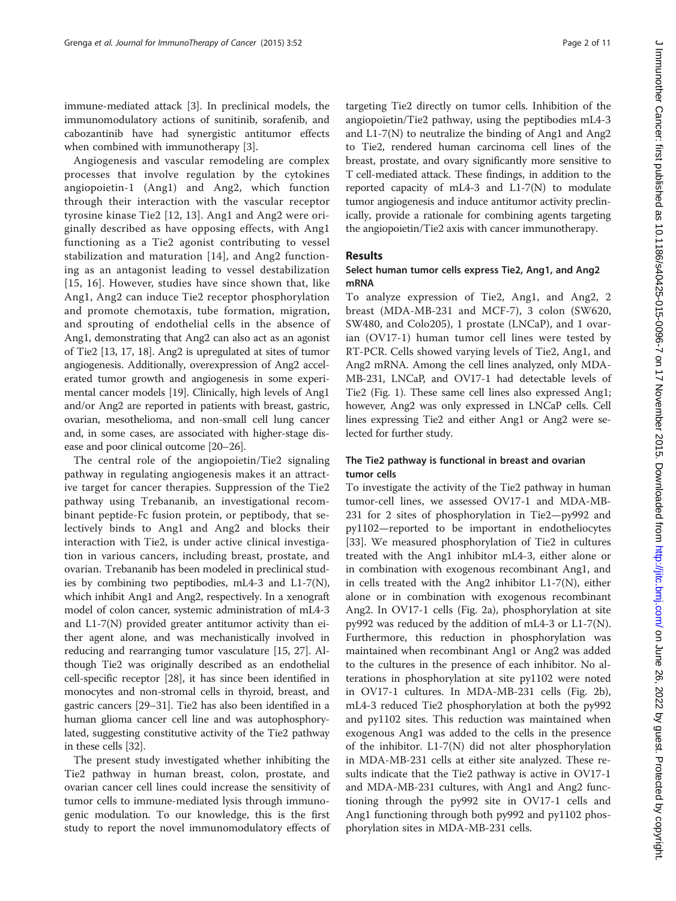immune-mediated attack [[3\]](#page-9-0). In preclinical models, the immunomodulatory actions of sunitinib, sorafenib, and cabozantinib have had synergistic antitumor effects when combined with immunotherapy [\[3](#page-9-0)].

Angiogenesis and vascular remodeling are complex processes that involve regulation by the cytokines angiopoietin-1 (Ang1) and Ang2, which function through their interaction with the vascular receptor tyrosine kinase Tie2 [[12](#page-9-0), [13\]](#page-9-0). Ang1 and Ang2 were originally described as have opposing effects, with Ang1 functioning as a Tie2 agonist contributing to vessel stabilization and maturation [[14\]](#page-9-0), and Ang2 functioning as an antagonist leading to vessel destabilization [[15](#page-9-0), [16\]](#page-9-0). However, studies have since shown that, like Ang1, Ang2 can induce Tie2 receptor phosphorylation and promote chemotaxis, tube formation, migration, and sprouting of endothelial cells in the absence of Ang1, demonstrating that Ang2 can also act as an agonist of Tie2 [[13](#page-9-0), [17](#page-9-0), [18](#page-9-0)]. Ang2 is upregulated at sites of tumor angiogenesis. Additionally, overexpression of Ang2 accelerated tumor growth and angiogenesis in some experimental cancer models [[19](#page-9-0)]. Clinically, high levels of Ang1 and/or Ang2 are reported in patients with breast, gastric, ovarian, mesothelioma, and non-small cell lung cancer and, in some cases, are associated with higher-stage disease and poor clinical outcome [\[20](#page-9-0)–[26\]](#page-10-0).

The central role of the angiopoietin/Tie2 signaling pathway in regulating angiogenesis makes it an attractive target for cancer therapies. Suppression of the Tie2 pathway using Trebananib, an investigational recombinant peptide-Fc fusion protein, or peptibody, that selectively binds to Ang1 and Ang2 and blocks their interaction with Tie2, is under active clinical investigation in various cancers, including breast, prostate, and ovarian. Trebananib has been modeled in preclinical studies by combining two peptibodies, mL4-3 and L1-7(N), which inhibit Ang1 and Ang2, respectively. In a xenograft model of colon cancer, systemic administration of mL4-3 and L1-7(N) provided greater antitumor activity than either agent alone, and was mechanistically involved in reducing and rearranging tumor vasculature [\[15,](#page-9-0) [27\]](#page-10-0). Although Tie2 was originally described as an endothelial cell-specific receptor [\[28\]](#page-10-0), it has since been identified in monocytes and non-stromal cells in thyroid, breast, and gastric cancers [\[29](#page-10-0)–[31](#page-10-0)]. Tie2 has also been identified in a human glioma cancer cell line and was autophosphorylated, suggesting constitutive activity of the Tie2 pathway in these cells [\[32](#page-10-0)].

The present study investigated whether inhibiting the Tie2 pathway in human breast, colon, prostate, and ovarian cancer cell lines could increase the sensitivity of tumor cells to immune-mediated lysis through immunogenic modulation. To our knowledge, this is the first study to report the novel immunomodulatory effects of targeting Tie2 directly on tumor cells. Inhibition of the angiopoietin/Tie2 pathway, using the peptibodies mL4-3 and L1-7(N) to neutralize the binding of Ang1 and Ang2 to Tie2, rendered human carcinoma cell lines of the breast, prostate, and ovary significantly more sensitive to T cell-mediated attack. These findings, in addition to the reported capacity of mL4-3 and  $L1-7(N)$  to modulate tumor angiogenesis and induce antitumor activity preclinically, provide a rationale for combining agents targeting the angiopoietin/Tie2 axis with cancer immunotherapy.

## Results

## Select human tumor cells express Tie2, Ang1, and Ang2 mRNA

To analyze expression of Tie2, Ang1, and Ang2, 2 breast (MDA-MB-231 and MCF-7), 3 colon (SW620, SW480, and Colo205), 1 prostate (LNCaP), and 1 ovarian (OV17-1) human tumor cell lines were tested by RT-PCR. Cells showed varying levels of Tie2, Ang1, and Ang2 mRNA. Among the cell lines analyzed, only MDA-MB-231, LNCaP, and OV17-1 had detectable levels of Tie2 (Fig. [1](#page-2-0)). These same cell lines also expressed Ang1; however, Ang2 was only expressed in LNCaP cells. Cell lines expressing Tie2 and either Ang1 or Ang2 were selected for further study.

## The Tie2 pathway is functional in breast and ovarian tumor cells

To investigate the activity of the Tie2 pathway in human tumor-cell lines, we assessed OV17-1 and MDA-MB-231 for 2 sites of phosphorylation in Tie2—py992 and py1102—reported to be important in endotheliocytes [[33\]](#page-10-0). We measured phosphorylation of Tie2 in cultures treated with the Ang1 inhibitor mL4-3, either alone or in combination with exogenous recombinant Ang1, and in cells treated with the Ang2 inhibitor L1-7(N), either alone or in combination with exogenous recombinant Ang2. In OV17-1 cells (Fig. [2a\)](#page-3-0), phosphorylation at site py992 was reduced by the addition of mL4-3 or L1-7(N). Furthermore, this reduction in phosphorylation was maintained when recombinant Ang1 or Ang2 was added to the cultures in the presence of each inhibitor. No alterations in phosphorylation at site py1102 were noted in OV17-1 cultures. In MDA-MB-231 cells (Fig. [2b](#page-3-0)), mL4-3 reduced Tie2 phosphorylation at both the py992 and py1102 sites. This reduction was maintained when exogenous Ang1 was added to the cells in the presence of the inhibitor. L1-7(N) did not alter phosphorylation in MDA-MB-231 cells at either site analyzed. These results indicate that the Tie2 pathway is active in OV17-1 and MDA-MB-231 cultures, with Ang1 and Ang2 functioning through the py992 site in OV17-1 cells and Ang1 functioning through both py992 and py1102 phosphorylation sites in MDA-MB-231 cells.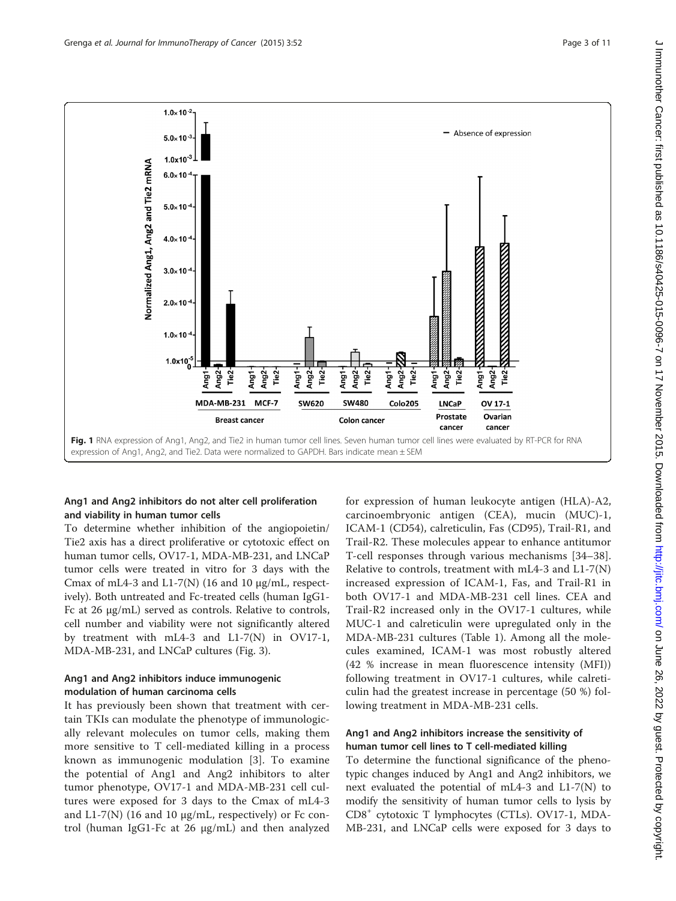<span id="page-2-0"></span>

## Ang1 and Ang2 inhibitors do not alter cell proliferation and viability in human tumor cells

To determine whether inhibition of the angiopoietin/ Tie2 axis has a direct proliferative or cytotoxic effect on human tumor cells, OV17-1, MDA-MB-231, and LNCaP tumor cells were treated in vitro for 3 days with the Cmax of mL4-3 and L1-7(N) (16 and 10  $\mu$ g/mL, respectively). Both untreated and Fc-treated cells (human IgG1- Fc at 26 μg/mL) served as controls. Relative to controls, cell number and viability were not significantly altered by treatment with mL4-3 and L1-7(N) in OV17-1, MDA-MB-231, and LNCaP cultures (Fig. [3](#page-4-0)).

## Ang1 and Ang2 inhibitors induce immunogenic modulation of human carcinoma cells

It has previously been shown that treatment with certain TKIs can modulate the phenotype of immunologically relevant molecules on tumor cells, making them more sensitive to T cell-mediated killing in a process known as immunogenic modulation [[3\]](#page-9-0). To examine the potential of Ang1 and Ang2 inhibitors to alter tumor phenotype, OV17-1 and MDA-MB-231 cell cultures were exposed for 3 days to the Cmax of mL4-3 and L1-7(N) (16 and 10  $\mu$ g/mL, respectively) or Fc control (human IgG1-Fc at 26 μg/mL) and then analyzed for expression of human leukocyte antigen (HLA)-A2, carcinoembryonic antigen (CEA), mucin (MUC)-1, ICAM-1 (CD54), calreticulin, Fas (CD95), Trail-R1, and Trail-R2. These molecules appear to enhance antitumor T-cell responses through various mechanisms [\[34](#page-10-0)–[38](#page-10-0)]. Relative to controls, treatment with mL4-3 and L1-7(N) increased expression of ICAM-1, Fas, and Trail-R1 in both OV17-1 and MDA-MB-231 cell lines. CEA and Trail-R2 increased only in the OV17-1 cultures, while MUC-1 and calreticulin were upregulated only in the MDA-MB-231 cultures (Table [1\)](#page-5-0). Among all the molecules examined, ICAM-1 was most robustly altered (42 % increase in mean fluorescence intensity (MFI)) following treatment in OV17-1 cultures, while calreticulin had the greatest increase in percentage (50 %) following treatment in MDA-MB-231 cells.

## Ang1 and Ang2 inhibitors increase the sensitivity of human tumor cell lines to T cell-mediated killing

To determine the functional significance of the phenotypic changes induced by Ang1 and Ang2 inhibitors, we next evaluated the potential of mL4-3 and L1-7(N) to modify the sensitivity of human tumor cells to lysis by CD8<sup>+</sup> cytotoxic T lymphocytes (CTLs). OV17-1, MDA-MB-231, and LNCaP cells were exposed for 3 days to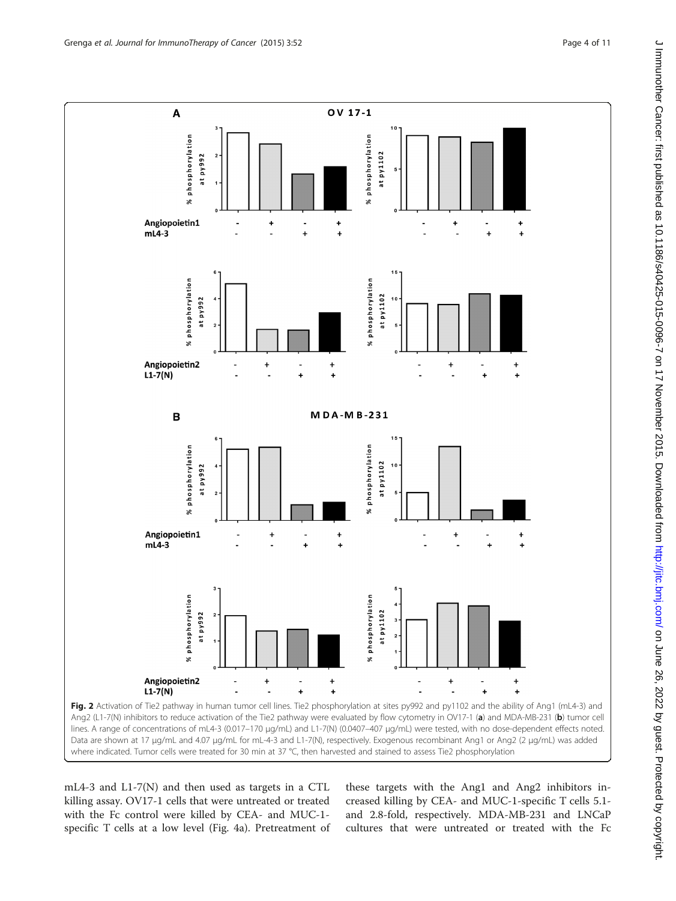<span id="page-3-0"></span>

mL4-3 and L1-7(N) and then used as targets in a CTL killing assay. OV17-1 cells that were untreated or treated with the Fc control were killed by CEA- and MUC-1 specific T cells at a low level (Fig. [4a](#page-5-0)). Pretreatment of these targets with the Ang1 and Ang2 inhibitors increased killing by CEA- and MUC-1-specific T cells 5.1 and 2.8-fold, respectively. MDA-MB-231 and LNCaP cultures that were untreated or treated with the Fc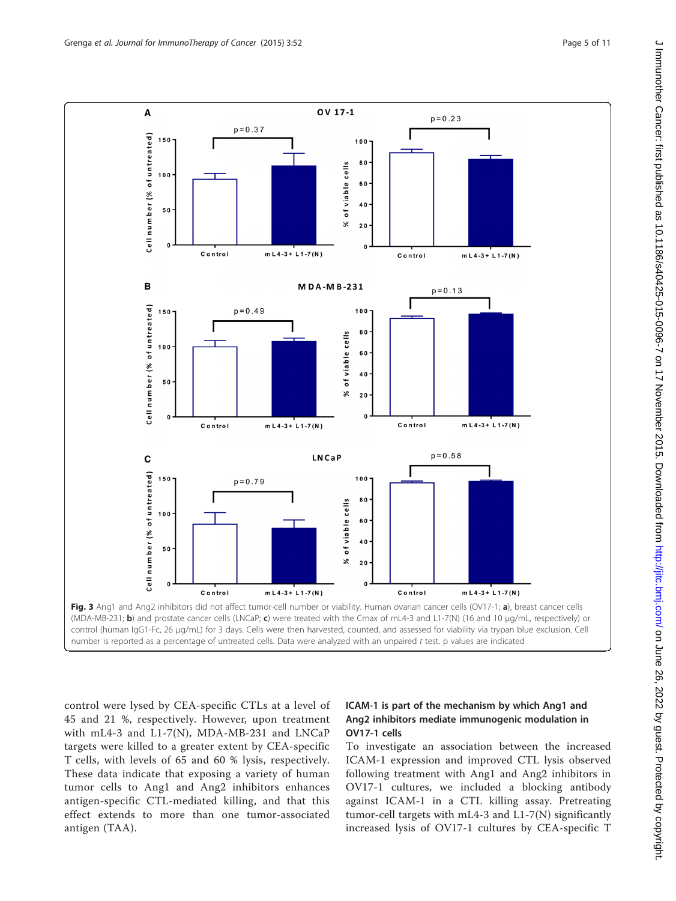<span id="page-4-0"></span>

control were lysed by CEA-specific CTLs at a level of 45 and 21 %, respectively. However, upon treatment with mL4-3 and L1-7(N), MDA-MB-231 and LNCaP targets were killed to a greater extent by CEA-specific T cells, with levels of 65 and 60 % lysis, respectively. These data indicate that exposing a variety of human tumor cells to Ang1 and Ang2 inhibitors enhances antigen-specific CTL-mediated killing, and that this effect extends to more than one tumor-associated antigen (TAA).

## ICAM-1 is part of the mechanism by which Ang1 and Ang2 inhibitors mediate immunogenic modulation in OV17-1 cells

To investigate an association between the increased ICAM-1 expression and improved CTL lysis observed following treatment with Ang1 and Ang2 inhibitors in OV17-1 cultures, we included a blocking antibody against ICAM-1 in a CTL killing assay. Pretreating tumor-cell targets with mL4-3 and L1-7(N) significantly increased lysis of OV17-1 cultures by CEA-specific T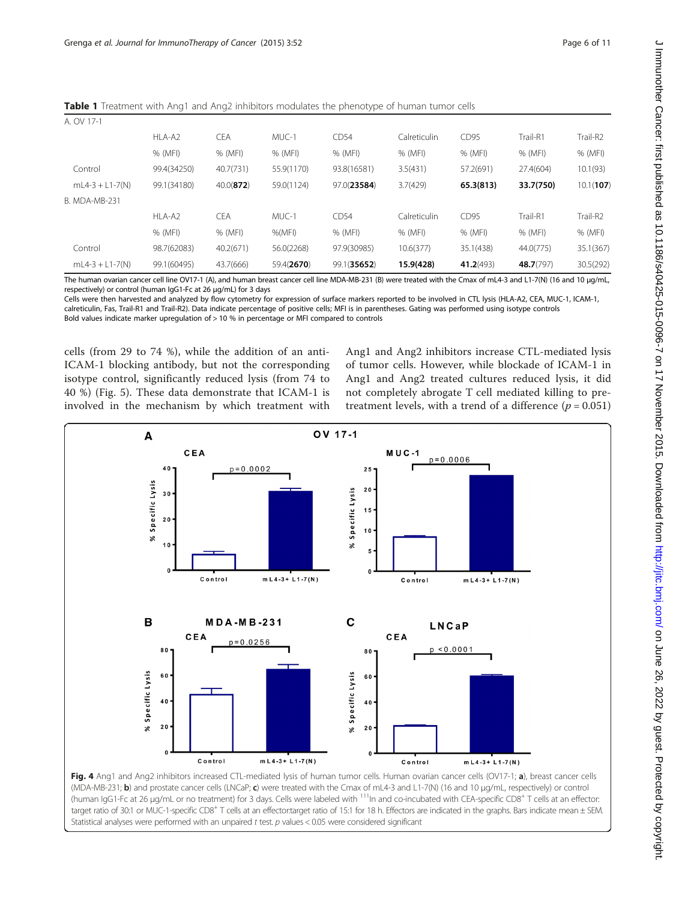<span id="page-5-0"></span>**Table 1** Treatment with Ang1 and Ang2 inhibitors modulates the phenotype of human tumor cells

| A. OV 17-1        |             |              |            |             |              |           |           |           |
|-------------------|-------------|--------------|------------|-------------|--------------|-----------|-----------|-----------|
|                   | HLA-A2      | <b>CEA</b>   | MUC-1      | CD54        | Calreticulin | CD95      | Trail-R1  | Trail-R2  |
|                   | % (MFI)     | % (MFI)      | % (MFI)    | % (MFI)     | % (MFI)      | % (MFI)   | % (MFI)   | % (MFI)   |
| Control           | 99.4(34250) | 40.7(731)    | 55.9(1170) | 93.8(16581) | 3.5(431)     | 57.2(691) | 27.4(604) | 10.1(93)  |
| $mL4-3 + L1-7(N)$ | 99.1(34180) | $40.0$ (872) | 59.0(1124) | 97.0(23584) | 3.7(429)     | 65.3(813) | 33.7(750) | 10.1(107) |
| B. MDA-MB-231     |             |              |            |             |              |           |           |           |
|                   | HLA-A2      | <b>CEA</b>   | MUC-1      | CD54        | Calreticulin | CD95      | Trail-R1  | Trail-R2  |
|                   | % (MFI)     | % (MFI)      | $%$ (MFI)  | % (MFI)     | % (MFI)      | % (MFI)   | % (MFI)   | % (MFI)   |
| Control           | 98.7(62083) | 40.2(671)    | 56.0(2268) | 97.9(30985) | 10.6(377)    | 35.1(438) | 44.0(775) | 35.1(367) |
| $mL4-3 + L1-7(N)$ | 99.1(60495) | 43.7(666)    | 59.4(2670) | 99.1(35652) | 15.9(428)    | 41.2(493) | 48.7(797) | 30.5(292) |

The human ovarian cancer cell line OV17-1 (A), and human breast cancer cell line MDA-MB-231 (B) were treated with the Cmax of mL4-3 and L1-7(N) (16 and 10 μg/mL, respectively) or control (human IgG1-Fc at 26 μg/mL) for 3 days

Cells were then harvested and analyzed by flow cytometry for expression of surface markers reported to be involved in CTL lysis (HLA-A2, CEA, MUC-1, ICAM-1, calreticulin, Fas, Trail-R1 and Trail-R2). Data indicate percentage of positive cells; MFI is in parentheses. Gating was performed using isotype controls Bold values indicate marker upregulation of > 10 % in percentage or MFI compared to controls

cells (from 29 to 74 %), while the addition of an anti-ICAM-1 blocking antibody, but not the corresponding isotype control, significantly reduced lysis (from 74 to 40 %) (Fig. [5\)](#page-6-0). These data demonstrate that ICAM-1 is involved in the mechanism by which treatment with

Ang1 and Ang2 inhibitors increase CTL-mediated lysis of tumor cells. However, while blockade of ICAM-1 in Ang1 and Ang2 treated cultures reduced lysis, it did not completely abrogate T cell mediated killing to pretreatment levels, with a trend of a difference ( $p = 0.051$ )



(MDA-MB-231; b) and prostate cancer cells (LNCaP; c) were treated with the Cmax of mL4-3 and L1-7(N) (16 and 10 μg/mL, respectively) or control (human IgG1-Fc at 26 µg/mL or no treatment) for 3 days. Cells were labeled with <sup>111</sup>In and co-incubated with CEA-specific CD8<sup>+</sup> T cells at an effector: target ratio of 30:1 or MUC-1-specific CD8<sup>+</sup> T cells at an effector:target ratio of 15:1 for 18 h. Effectors are indicated in the graphs. Bars indicate mean ± SEM. Statistical analyses were performed with an unpaired t test. p values < 0.05 were considered significant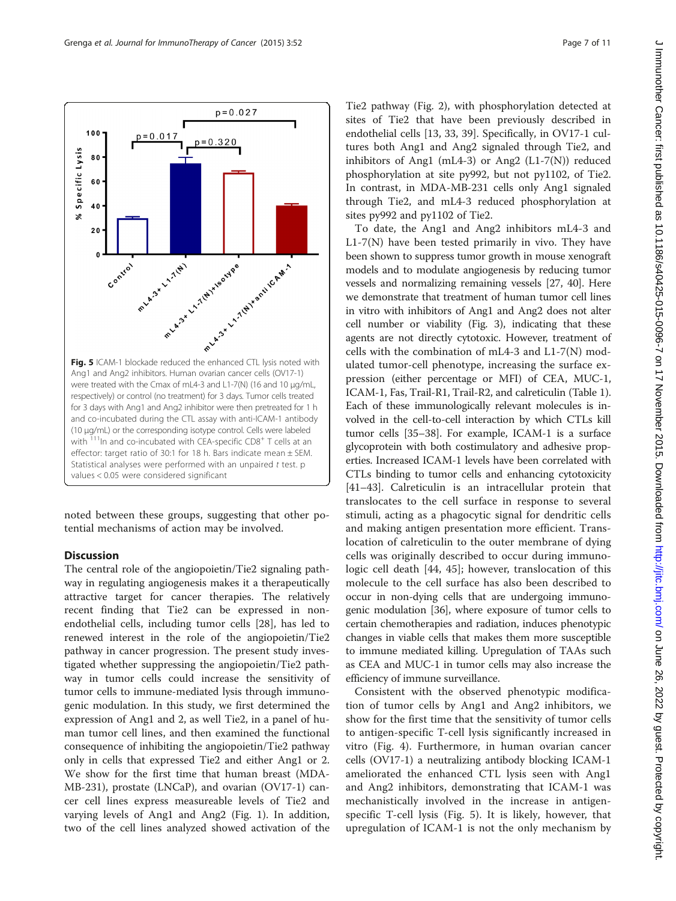<span id="page-6-0"></span>

noted between these groups, suggesting that other potential mechanisms of action may be involved.

## **Discussion**

The central role of the angiopoietin/Tie2 signaling pathway in regulating angiogenesis makes it a therapeutically attractive target for cancer therapies. The relatively recent finding that Tie2 can be expressed in nonendothelial cells, including tumor cells [\[28](#page-10-0)], has led to renewed interest in the role of the angiopoietin/Tie2 pathway in cancer progression. The present study investigated whether suppressing the angiopoietin/Tie2 pathway in tumor cells could increase the sensitivity of tumor cells to immune-mediated lysis through immunogenic modulation. In this study, we first determined the expression of Ang1 and 2, as well Tie2, in a panel of human tumor cell lines, and then examined the functional consequence of inhibiting the angiopoietin/Tie2 pathway only in cells that expressed Tie2 and either Ang1 or 2. We show for the first time that human breast (MDA-MB-231), prostate (LNCaP), and ovarian (OV17-1) cancer cell lines express measureable levels of Tie2 and varying levels of Ang1 and Ang2 (Fig. [1](#page-2-0)). In addition, two of the cell lines analyzed showed activation of the Tie2 pathway (Fig. [2](#page-3-0)), with phosphorylation detected at sites of Tie2 that have been previously described in endothelial cells [[13,](#page-9-0) [33, 39\]](#page-10-0). Specifically, in OV17-1 cultures both Ang1 and Ang2 signaled through Tie2, and inhibitors of Ang1 (mL4-3) or Ang2 (L1-7(N)) reduced phosphorylation at site py992, but not py1102, of Tie2. In contrast, in MDA-MB-231 cells only Ang1 signaled through Tie2, and mL4-3 reduced phosphorylation at sites py992 and py1102 of Tie2.

To date, the Ang1 and Ang2 inhibitors mL4-3 and  $L1-7(N)$  have been tested primarily in vivo. They have been shown to suppress tumor growth in mouse xenograft models and to modulate angiogenesis by reducing tumor vessels and normalizing remaining vessels [\[27, 40\]](#page-10-0). Here we demonstrate that treatment of human tumor cell lines in vitro with inhibitors of Ang1 and Ang2 does not alter cell number or viability (Fig. [3](#page-4-0)), indicating that these agents are not directly cytotoxic. However, treatment of cells with the combination of mL4-3 and L1-7(N) modulated tumor-cell phenotype, increasing the surface expression (either percentage or MFI) of CEA, MUC-1, ICAM-1, Fas, Trail-R1, Trail-R2, and calreticulin (Table [1](#page-5-0)). Each of these immunologically relevant molecules is involved in the cell-to-cell interaction by which CTLs kill tumor cells [\[35](#page-10-0)–[38](#page-10-0)]. For example, ICAM-1 is a surface glycoprotein with both costimulatory and adhesive properties. Increased ICAM-1 levels have been correlated with CTLs binding to tumor cells and enhancing cytotoxicity [[41](#page-10-0)–[43\]](#page-10-0). Calreticulin is an intracellular protein that translocates to the cell surface in response to several stimuli, acting as a phagocytic signal for dendritic cells and making antigen presentation more efficient. Translocation of calreticulin to the outer membrane of dying cells was originally described to occur during immunologic cell death [[44, 45](#page-10-0)]; however, translocation of this molecule to the cell surface has also been described to occur in non-dying cells that are undergoing immunogenic modulation [[36](#page-10-0)], where exposure of tumor cells to certain chemotherapies and radiation, induces phenotypic changes in viable cells that makes them more susceptible to immune mediated killing. Upregulation of TAAs such as CEA and MUC-1 in tumor cells may also increase the efficiency of immune surveillance.

Consistent with the observed phenotypic modification of tumor cells by Ang1 and Ang2 inhibitors, we show for the first time that the sensitivity of tumor cells to antigen-specific T-cell lysis significantly increased in vitro (Fig. [4](#page-5-0)). Furthermore, in human ovarian cancer cells (OV17-1) a neutralizing antibody blocking ICAM-1 ameliorated the enhanced CTL lysis seen with Ang1 and Ang2 inhibitors, demonstrating that ICAM-1 was mechanistically involved in the increase in antigenspecific T-cell lysis (Fig. 5). It is likely, however, that upregulation of ICAM-1 is not the only mechanism by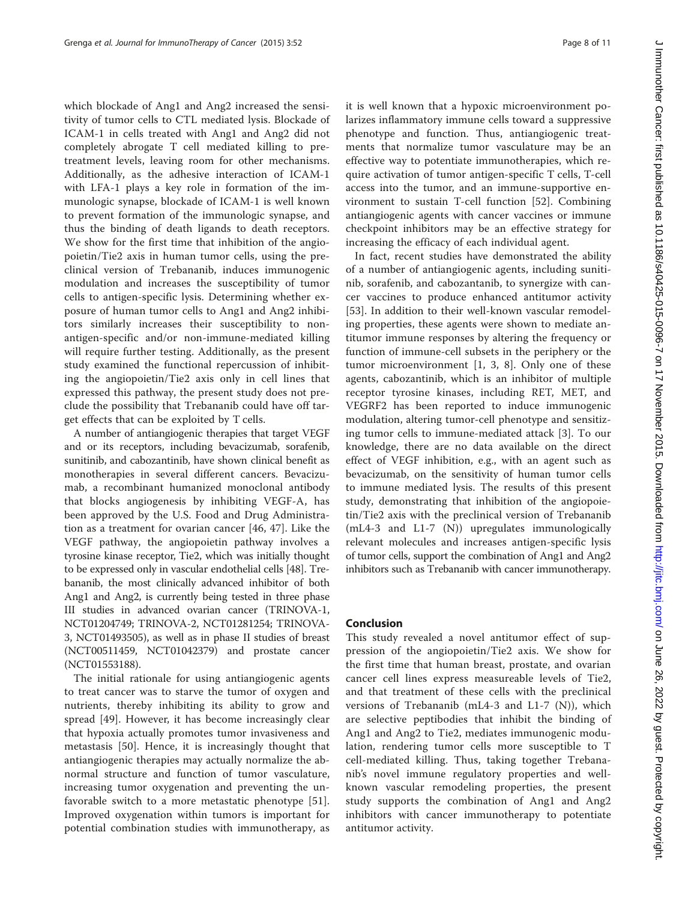which blockade of Ang1 and Ang2 increased the sensitivity of tumor cells to CTL mediated lysis. Blockade of ICAM-1 in cells treated with Ang1 and Ang2 did not completely abrogate T cell mediated killing to pretreatment levels, leaving room for other mechanisms. Additionally, as the adhesive interaction of ICAM-1 with LFA-1 plays a key role in formation of the immunologic synapse, blockade of ICAM-1 is well known to prevent formation of the immunologic synapse, and thus the binding of death ligands to death receptors. We show for the first time that inhibition of the angiopoietin/Tie2 axis in human tumor cells, using the preclinical version of Trebananib, induces immunogenic modulation and increases the susceptibility of tumor cells to antigen-specific lysis. Determining whether exposure of human tumor cells to Ang1 and Ang2 inhibitors similarly increases their susceptibility to nonantigen-specific and/or non-immune-mediated killing will require further testing. Additionally, as the present study examined the functional repercussion of inhibiting the angiopoietin/Tie2 axis only in cell lines that expressed this pathway, the present study does not preclude the possibility that Trebananib could have off target effects that can be exploited by T cells.

A number of antiangiogenic therapies that target VEGF and or its receptors, including bevacizumab, sorafenib, sunitinib, and cabozantinib, have shown clinical benefit as monotherapies in several different cancers. Bevacizumab, a recombinant humanized monoclonal antibody that blocks angiogenesis by inhibiting VEGF-A, has been approved by the U.S. Food and Drug Administration as a treatment for ovarian cancer [\[46](#page-10-0), [47\]](#page-10-0). Like the VEGF pathway, the angiopoietin pathway involves a tyrosine kinase receptor, Tie2, which was initially thought to be expressed only in vascular endothelial cells [\[48\]](#page-10-0). Trebananib, the most clinically advanced inhibitor of both Ang1 and Ang2, is currently being tested in three phase III studies in advanced ovarian cancer (TRINOVA-1, NCT01204749; TRINOVA-2, NCT01281254; TRINOVA-3, NCT01493505), as well as in phase II studies of breast (NCT00511459, NCT01042379) and prostate cancer (NCT01553188).

The initial rationale for using antiangiogenic agents to treat cancer was to starve the tumor of oxygen and nutrients, thereby inhibiting its ability to grow and spread [\[49](#page-10-0)]. However, it has become increasingly clear that hypoxia actually promotes tumor invasiveness and metastasis [\[50](#page-10-0)]. Hence, it is increasingly thought that antiangiogenic therapies may actually normalize the abnormal structure and function of tumor vasculature, increasing tumor oxygenation and preventing the unfavorable switch to a more metastatic phenotype [[51](#page-10-0)]. Improved oxygenation within tumors is important for potential combination studies with immunotherapy, as it is well known that a hypoxic microenvironment polarizes inflammatory immune cells toward a suppressive phenotype and function. Thus, antiangiogenic treatments that normalize tumor vasculature may be an effective way to potentiate immunotherapies, which require activation of tumor antigen-specific T cells, T-cell access into the tumor, and an immune-supportive environment to sustain T-cell function [[52\]](#page-10-0). Combining antiangiogenic agents with cancer vaccines or immune checkpoint inhibitors may be an effective strategy for increasing the efficacy of each individual agent.

In fact, recent studies have demonstrated the ability of a number of antiangiogenic agents, including sunitinib, sorafenib, and cabozantanib, to synergize with cancer vaccines to produce enhanced antitumor activity [[53\]](#page-10-0). In addition to their well-known vascular remodeling properties, these agents were shown to mediate antitumor immune responses by altering the frequency or function of immune-cell subsets in the periphery or the tumor microenvironment [[1, 3, 8](#page-9-0)]. Only one of these agents, cabozantinib, which is an inhibitor of multiple receptor tyrosine kinases, including RET, MET, and VEGRF2 has been reported to induce immunogenic modulation, altering tumor-cell phenotype and sensitizing tumor cells to immune-mediated attack [\[3](#page-9-0)]. To our knowledge, there are no data available on the direct effect of VEGF inhibition, e.g., with an agent such as bevacizumab, on the sensitivity of human tumor cells to immune mediated lysis. The results of this present study, demonstrating that inhibition of the angiopoietin/Tie2 axis with the preclinical version of Trebananib (mL4-3 and L1-7 (N)) upregulates immunologically relevant molecules and increases antigen-specific lysis of tumor cells, support the combination of Ang1 and Ang2 inhibitors such as Trebananib with cancer immunotherapy.

## Conclusion

This study revealed a novel antitumor effect of suppression of the angiopoietin/Tie2 axis. We show for the first time that human breast, prostate, and ovarian cancer cell lines express measureable levels of Tie2, and that treatment of these cells with the preclinical versions of Trebananib (mL4-3 and L1-7  $(N)$ ), which are selective peptibodies that inhibit the binding of Ang1 and Ang2 to Tie2, mediates immunogenic modulation, rendering tumor cells more susceptible to T cell-mediated killing. Thus, taking together Trebananib's novel immune regulatory properties and wellknown vascular remodeling properties, the present study supports the combination of Ang1 and Ang2 inhibitors with cancer immunotherapy to potentiate antitumor activity.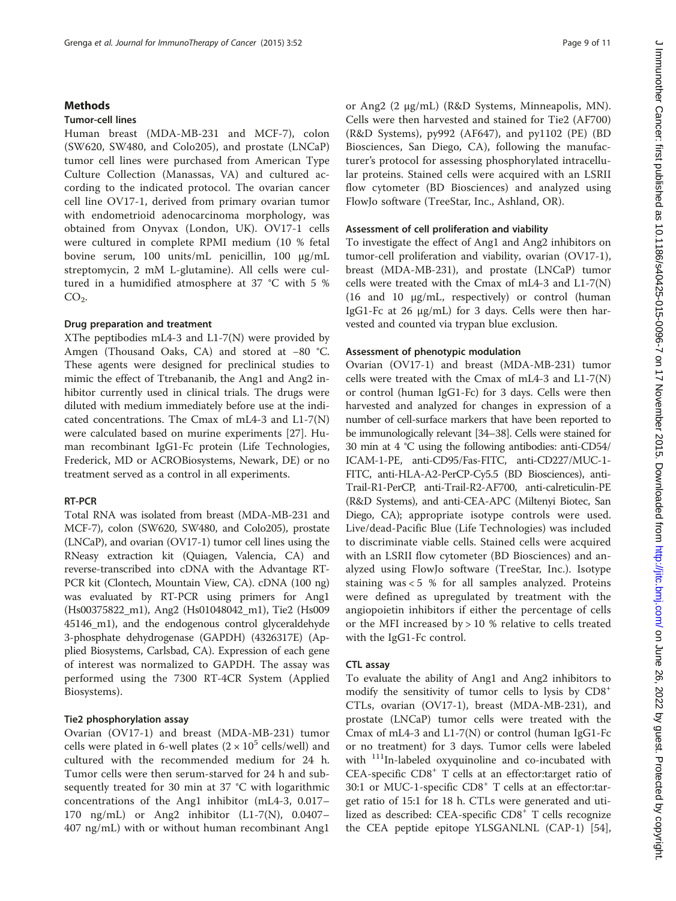#### **Methods**

#### Tumor-cell lines

Human breast (MDA-MB-231 and MCF-7), colon (SW620, SW480, and Colo205), and prostate (LNCaP) tumor cell lines were purchased from American Type Culture Collection (Manassas, VA) and cultured according to the indicated protocol. The ovarian cancer cell line OV17-1, derived from primary ovarian tumor with endometrioid adenocarcinoma morphology, was obtained from Onyvax (London, UK). OV17-1 cells were cultured in complete RPMI medium (10 % fetal bovine serum, 100 units/mL penicillin, 100 μg/mL streptomycin, 2 mM L-glutamine). All cells were cultured in a humidified atmosphere at 37 °C with 5 %  $CO<sub>2</sub>$ .

#### Drug preparation and treatment

XThe peptibodies mL4-3 and L1-7(N) were provided by Amgen (Thousand Oaks, CA) and stored at −80 °C. These agents were designed for preclinical studies to mimic the effect of Ttrebananib, the Ang1 and Ang2 inhibitor currently used in clinical trials. The drugs were diluted with medium immediately before use at the indicated concentrations. The Cmax of mL4-3 and L1-7(N) were calculated based on murine experiments [\[27](#page-10-0)]. Human recombinant IgG1-Fc protein (Life Technologies, Frederick, MD or ACROBiosystems, Newark, DE) or no treatment served as a control in all experiments.

#### RT-PCR

Total RNA was isolated from breast (MDA-MB-231 and MCF-7), colon (SW620, SW480, and Colo205), prostate (LNCaP), and ovarian (OV17-1) tumor cell lines using the RNeasy extraction kit (Quiagen, Valencia, CA) and reverse-transcribed into cDNA with the Advantage RT-PCR kit (Clontech, Mountain View, CA). cDNA (100 ng) was evaluated by RT-PCR using primers for Ang1 (Hs00375822\_m1), Ang2 (Hs01048042\_m1), Tie2 (Hs009 45146\_m1), and the endogenous control glyceraldehyde 3-phosphate dehydrogenase (GAPDH) (4326317E) (Applied Biosystems, Carlsbad, CA). Expression of each gene of interest was normalized to GAPDH. The assay was performed using the 7300 RT-4CR System (Applied Biosystems).

## Tie2 phosphorylation assay

Ovarian (OV17-1) and breast (MDA-MB-231) tumor cells were plated in 6-well plates  $(2 \times 10^5 \text{ cells/well})$  and cultured with the recommended medium for 24 h. Tumor cells were then serum-starved for 24 h and subsequently treated for 30 min at 37 °C with logarithmic concentrations of the Ang1 inhibitor (mL4-3, 0.017– 170 ng/mL) or Ang2 inhibitor (L1-7(N), 0.0407– 407 ng/mL) with or without human recombinant Ang1

or Ang2 (2 μg/mL) (R&D Systems, Minneapolis, MN). Cells were then harvested and stained for Tie2 (AF700) (R&D Systems), py992 (AF647), and py1102 (PE) (BD Biosciences, San Diego, CA), following the manufacturer's protocol for assessing phosphorylated intracellular proteins. Stained cells were acquired with an LSRII flow cytometer (BD Biosciences) and analyzed using FlowJo software (TreeStar, Inc., Ashland, OR).

## Assessment of cell proliferation and viability

To investigate the effect of Ang1 and Ang2 inhibitors on tumor-cell proliferation and viability, ovarian (OV17-1), breast (MDA-MB-231), and prostate (LNCaP) tumor cells were treated with the Cmax of mL4-3 and L1-7(N) (16 and 10 μg/mL, respectively) or control (human IgG1-Fc at 26 μg/mL) for 3 days. Cells were then harvested and counted via trypan blue exclusion.

## Assessment of phenotypic modulation

Ovarian (OV17-1) and breast (MDA-MB-231) tumor cells were treated with the Cmax of mL4-3 and L1-7(N) or control (human IgG1-Fc) for 3 days. Cells were then harvested and analyzed for changes in expression of a number of cell-surface markers that have been reported to be immunologically relevant [\[34](#page-10-0)–[38](#page-10-0)]. Cells were stained for 30 min at 4 °C using the following antibodies: anti-CD54/ ICAM-1-PE, anti-CD95/Fas-FITC, anti-CD227/MUC-1- FITC, anti-HLA-A2-PerCP-Cy5.5 (BD Biosciences), anti-Trail-R1-PerCP, anti-Trail-R2-AF700, anti-calreticulin-PE (R&D Systems), and anti-CEA-APC (Miltenyi Biotec, San Diego, CA); appropriate isotype controls were used. Live/dead-Pacific Blue (Life Technologies) was included to discriminate viable cells. Stained cells were acquired with an LSRII flow cytometer (BD Biosciences) and analyzed using FlowJo software (TreeStar, Inc.). Isotype staining was  $< 5$  % for all samples analyzed. Proteins were defined as upregulated by treatment with the angiopoietin inhibitors if either the percentage of cells or the MFI increased by > 10 % relative to cells treated with the IgG1-Fc control.

#### CTL assay

To evaluate the ability of Ang1 and Ang2 inhibitors to modify the sensitivity of tumor cells to lysis by  $CDS^+$ CTLs, ovarian (OV17-1), breast (MDA-MB-231), and prostate (LNCaP) tumor cells were treated with the Cmax of mL4-3 and L1-7(N) or control (human IgG1-Fc or no treatment) for 3 days. Tumor cells were labeled with <sup>111</sup>In-labeled oxyquinoline and co-incubated with CEA-specific CD8<sup>+</sup> T cells at an effector:target ratio of 30:1 or MUC-1-specific CD8<sup>+</sup> T cells at an effector:target ratio of 15:1 for 18 h. CTLs were generated and utilized as described: CEA-specific CD8<sup>+</sup> T cells recognize the CEA peptide epitope YLSGANLNL (CAP-1) [\[54](#page-10-0)],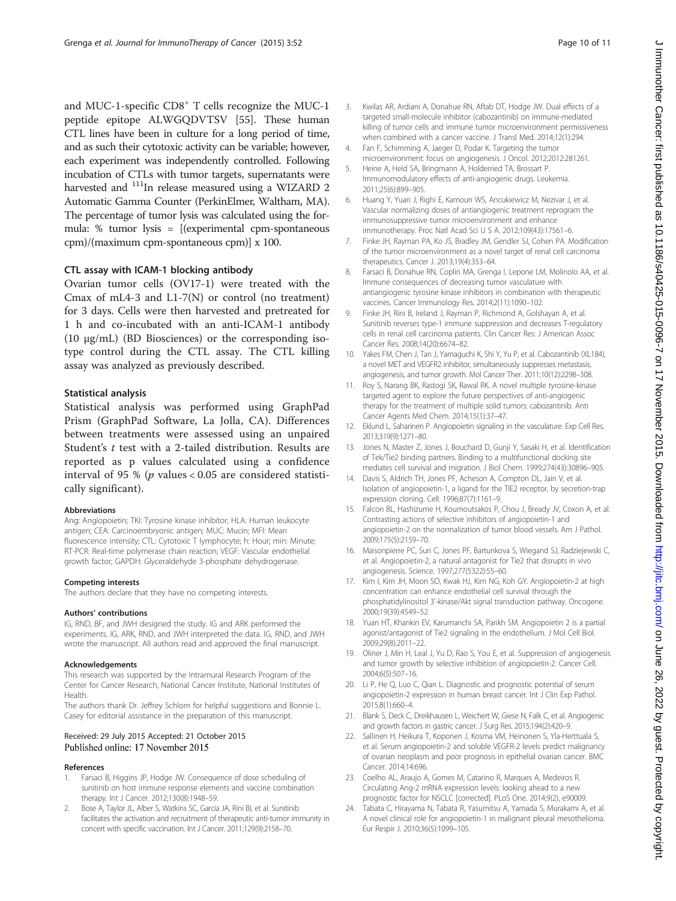<span id="page-9-0"></span>and MUC-1-specific CD8<sup>+</sup> T cells recognize the MUC-1 peptide epitope ALWGQDVTSV [[55](#page-10-0)]. These human CTL lines have been in culture for a long period of time, and as such their cytotoxic activity can be variable; however, each experiment was independently controlled. Following incubation of CTLs with tumor targets, supernatants were harvested and <sup>111</sup>In release measured using a WIZARD 2 Automatic Gamma Counter (PerkinElmer, Waltham, MA). The percentage of tumor lysis was calculated using the formula: % tumor lysis = [(experimental cpm-spontaneous cpm)/(maximum cpm-spontaneous cpm)] x 100.

## CTL assay with ICAM-1 blocking antibody

Ovarian tumor cells (OV17-1) were treated with the Cmax of mL4-3 and L1-7(N) or control (no treatment) for 3 days. Cells were then harvested and pretreated for 1 h and co-incubated with an anti-ICAM-1 antibody (10 μg/mL) (BD Biosciences) or the corresponding isotype control during the CTL assay. The CTL killing assay was analyzed as previously described.

## Statistical analysis

Statistical analysis was performed using GraphPad Prism (GraphPad Software, La Jolla, CA). Differences between treatments were assessed using an unpaired Student's  $t$  test with a 2-tailed distribution. Results are reported as p values calculated using a confidence interval of 95 % ( $p$  values < 0.05 are considered statistically significant).

#### Abbreviations

Ang: Angiopoietin; TKI: Tyrosine kinase inhibitor; HLA: Human leukocyte antigen; CEA: Carcinoembryonic antigen; MUC: Mucin; MFI: Mean fluorescence intensity; CTL: Cytotoxic T lymphocyte; h: Hour; min: Minute; RT-PCR: Real-time polymerase chain reaction; VEGF: Vascular endothelial growth factor; GAPDH: Glyceraldehyde 3-phosphate dehydrogenase.

#### Competing interests

The authors declare that they have no competing interests.

#### Authors' contributions

IG, RND, BF, and JWH designed the study. IG and ARK performed the experiments. IG, ARK, RND, and JWH interpreted the data. IG, RND, and JWH wrote the manuscript. All authors read and approved the final manuscript.

#### Acknowledgements

This research was supported by the Intramural Research Program of the Center for Cancer Research, National Cancer Institute, National Institutes of **Health** 

The authors thank Dr. Jeffrey Schlom for helpful suggestions and Bonnie L. Casey for editorial assistance in the preparation of this manuscript.

#### Received: 29 July 2015 Accepted: 21 October 2015 Published online: 17 November 2015

#### References

- 1. Farsaci B, Higgins JP, Hodge JW. Consequence of dose scheduling of sunitinib on host immune response elements and vaccine combination therapy. Int J Cancer. 2012;130(8):1948–59.
- 2. Bose A, Taylor JL, Alber S, Watkins SC, Garcia JA, Rini BI, et al. Sunitinib facilitates the activation and recruitment of therapeutic anti-tumor immunity in concert with specific vaccination. Int J Cancer. 2011;129(9):2158–70.
- 3. Kwilas AR, Ardiani A, Donahue RN, Aftab DT, Hodge JW. Dual effects of a targeted small-molecule inhibitor (cabozantinib) on immune-mediated killing of tumor cells and immune tumor microenvironment permissiveness when combined with a cancer vaccine. J Transl Med. 2014;12(1):294.
- 4. Fan F, Schimming A, Jaeger D, Podar K. Targeting the tumor microenvironment: focus on angiogenesis. J Oncol. 2012;2012:281261.
- 5. Heine A, Held SA, Bringmann A, Holderried TA, Brossart P. Immunomodulatory effects of anti-angiogenic drugs. Leukemia. 2011;25(6):899–905.
- 6. Huang Y, Yuan J, Righi E, Kamoun WS, Ancukiewicz M, Nezivar J, et al. Vascular normalizing doses of antiangiogenic treatment reprogram the immunosuppressive tumor microenvironment and enhance immunotherapy. Proc Natl Acad Sci U S A. 2012;109(43):17561–6.
- 7. Finke JH, Rayman PA, Ko JS, Bradley JM, Gendler SJ, Cohen PA. Modification of the tumor microenvironment as a novel target of renal cell carcinoma therapeutics. Cancer J. 2013;19(4):353–64.
- 8. Farsaci B, Donahue RN, Coplin MA, Grenga I, Lepone LM, Molinolo AA, et al. Immune consequences of decreasing tumor vasculature with antiangiogenic tyrosine kinase inhibitors in combination with therapeutic vaccines. Cancer Immunology Res. 2014;2(11):1090–102.
- 9. Finke JH, Rini B, Ireland J, Rayman P, Richmond A, Golshayan A, et al. Sunitinib reverses type-1 immune suppression and decreases T-regulatory cells in renal cell carcinoma patients. Clin Cancer Res: J American Assoc Cancer Res. 2008;14(20):6674–82.
- 10. Yakes FM, Chen J, Tan J, Yamaguchi K, Shi Y, Yu P, et al. Cabozantinib (XL184), a novel MET and VEGFR2 inhibitor, simultaneously suppresses metastasis, angiogenesis, and tumor growth. Mol Cancer Ther. 2011;10(12):2298–308.
- 11. Roy S, Narang BK, Rastogi SK, Rawal RK. A novel multiple tyrosine-kinase targeted agent to explore the future perspectives of anti-angiogenic therapy for the treatment of multiple solid tumors: cabozantinib. Anti Cancer Agents Med Chem. 2014;15(1):37–47.
- 12. Eklund L, Saharinen P. Angiopoietin signaling in the vasculature. Exp Cell Res. 2013;319(9):1271–80.
- 13. Jones N, Master Z, Jones J, Bouchard D, Gunji Y, Sasaki H, et al. Identification of Tek/Tie2 binding partners. Binding to a multifunctional docking site mediates cell survival and migration. J Biol Chem. 1999;274(43):30896–905.
- 14. Davis S, Aldrich TH, Jones PF, Acheson A, Compton DL, Jain V, et al. Isolation of angiopoietin-1, a ligand for the TIE2 receptor, by secretion-trap expression cloning. Cell. 1996;87(7):1161–9.
- 15. Falcon BL, Hashizume H, Koumoutsakos P, Chou J, Bready JV, Coxon A, et al. Contrasting actions of selective inhibitors of angiopoietin-1 and angiopoietin-2 on the normalization of tumor blood vessels. Am J Pathol. 2009;175(5):2159–70.
- 16. Maisonpierre PC, Suri C, Jones PF, Bartunkova S, Wiegand SJ, Radziejewski C, et al. Angiopoietin-2, a natural antagonist for Tie2 that disrupts in vivo angiogenesis. Science. 1997;277(5322):55–60.
- 17. Kim I, Kim JH, Moon SO, Kwak HJ, Kim NG, Koh GY. Angiopoietin-2 at high concentration can enhance endothelial cell survival through the phosphatidylinositol 3'-kinase/Akt signal transduction pathway. Oncogene. 2000;19(39):4549–52.
- 18. Yuan HT, Khankin EV, Karumanchi SA, Parikh SM. Angiopoietin 2 is a partial agonist/antagonist of Tie2 signaling in the endothelium. J Mol Cell Biol. 2009;29(8):2011–22.
- 19. Oliner J, Min H, Leal J, Yu D, Rao S, You E, et al. Suppression of angiogenesis and tumor growth by selective inhibition of angiopoietin-2. Cancer Cell. 2004;6(5):507–16.
- 20. Li P, He Q, Luo C, Qian L. Diagnostic and prognostic potential of serum angiopoietin-2 expression in human breast cancer. Int J Clin Exp Pathol. 2015;8(1):660–4.
- 21. Blank S, Deck C, Dreikhausen L, Weichert W, Giese N, Falk C, et al. Angiogenic and growth factors in gastric cancer. J Surg Res. 2015;194(2):420–9.
- 22. Sallinen H, Heikura T, Koponen J, Kosma VM, Heinonen S, Yla-Herttuala S, et al. Serum angiopoietin-2 and soluble VEGFR-2 levels predict malignancy of ovarian neoplasm and poor prognosis in epithelial ovarian cancer. BMC Cancer. 2014;14:696.
- 23. Coelho AL, Araujo A, Gomes M, Catarino R, Marques A, Medeiros R. Circulating Ang-2 mRNA expression levels: looking ahead to a new prognostic factor for NSCLC [corrected]. PLoS One. 2014;9(2), e90009.
- 24. Tabata C, Hirayama N, Tabata R, Yasumitsu A, Yamada S, Murakami A, et al. A novel clinical role for angiopoietin-1 in malignant pleural mesothelioma. Eur Respir J. 2010;36(5):1099–105.